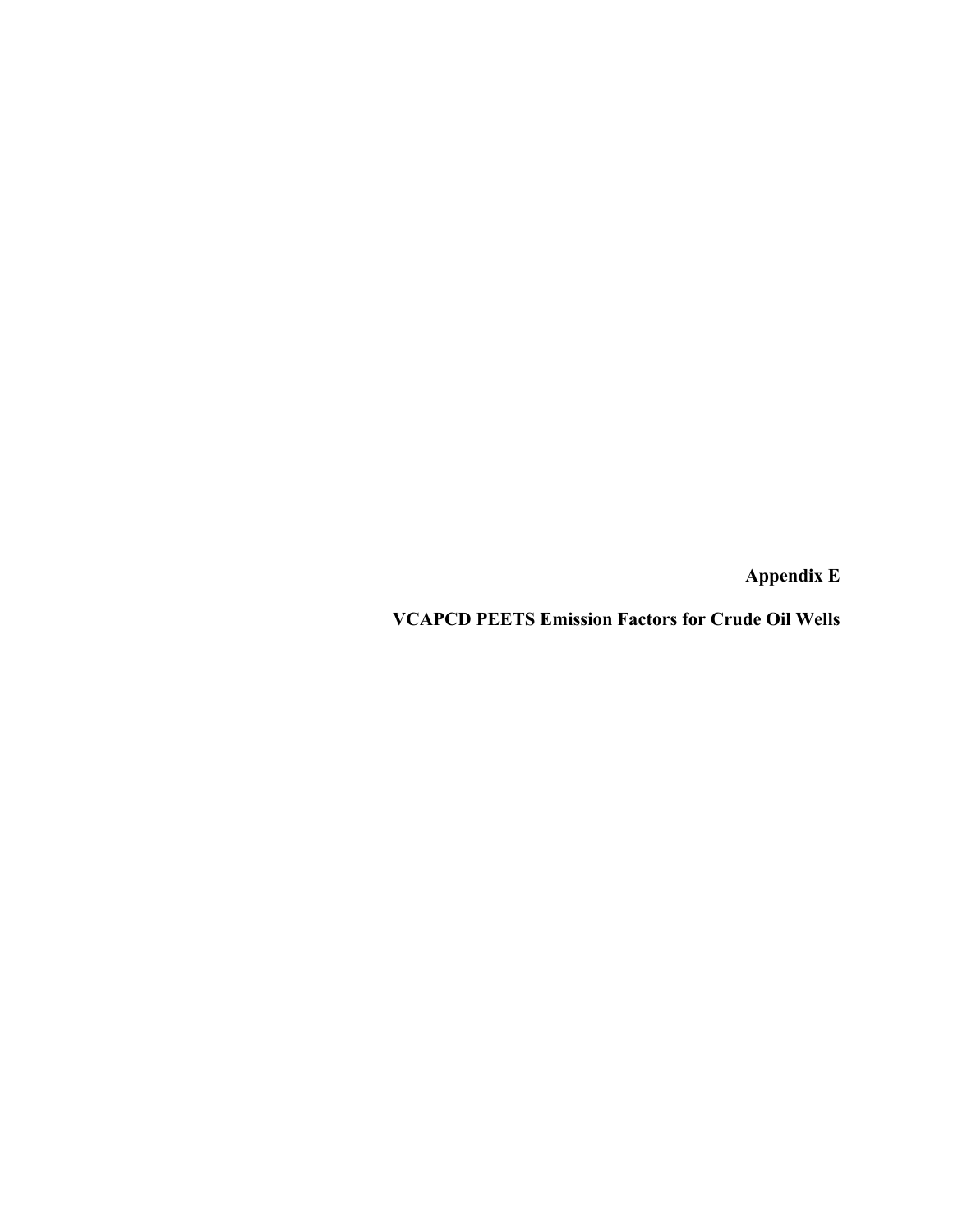**Appendix E** 

**VCAPCD PEETS Emission Factors for Crude Oil Wells**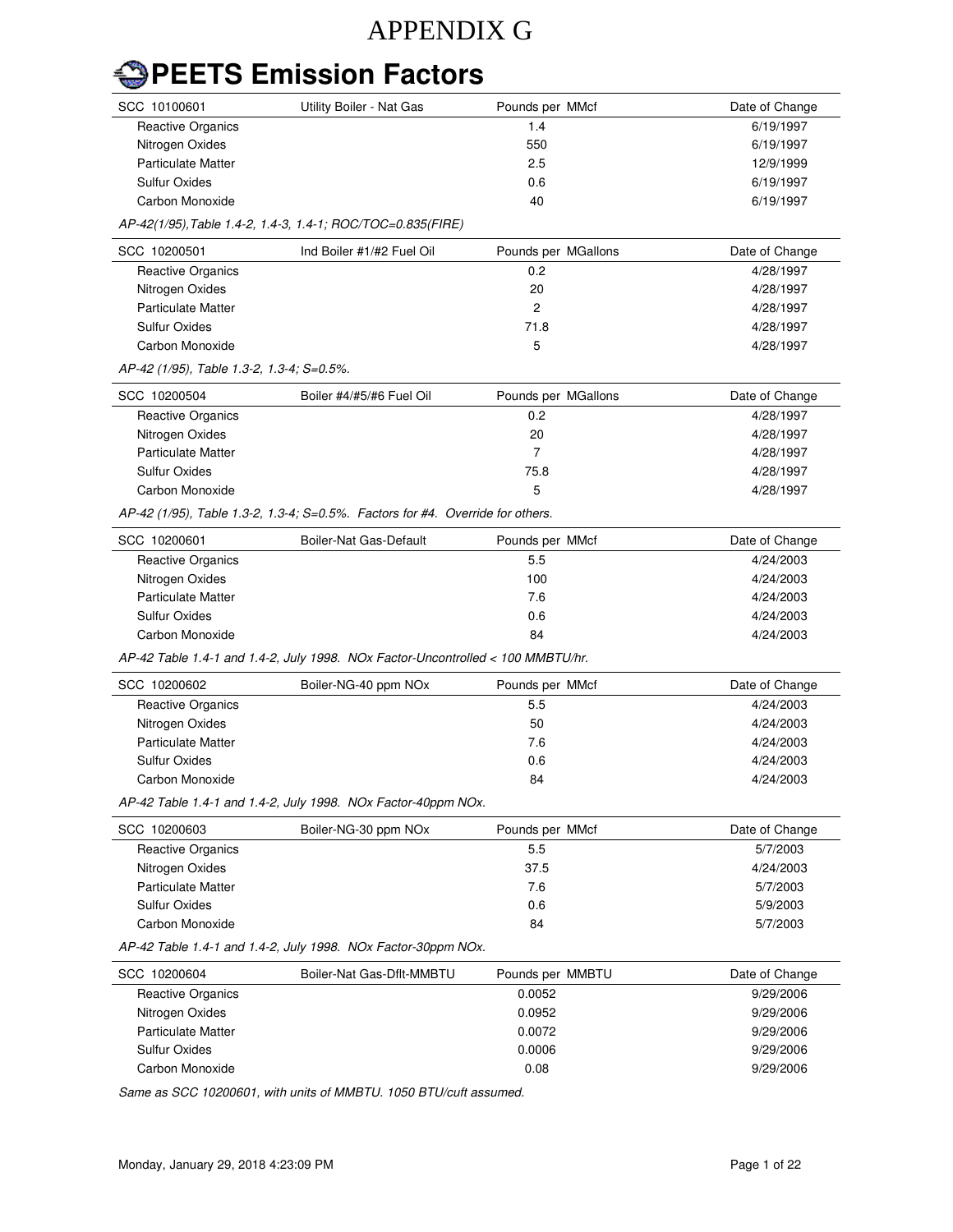## APPENDIX G

## **PEETS Emission Factors**

| SCC 10100601                                                                   | Utility Boiler - Nat Gas                                                        | Pounds per MMcf     | Date of Change |  |  |  |  |  |
|--------------------------------------------------------------------------------|---------------------------------------------------------------------------------|---------------------|----------------|--|--|--|--|--|
| <b>Reactive Organics</b>                                                       |                                                                                 | 1.4                 | 6/19/1997      |  |  |  |  |  |
| Nitrogen Oxides                                                                |                                                                                 | 550                 | 6/19/1997      |  |  |  |  |  |
| <b>Particulate Matter</b>                                                      |                                                                                 | 2.5                 | 12/9/1999      |  |  |  |  |  |
| <b>Sulfur Oxides</b>                                                           |                                                                                 | 0.6                 | 6/19/1997      |  |  |  |  |  |
| Carbon Monoxide                                                                |                                                                                 | 40                  | 6/19/1997      |  |  |  |  |  |
| AP-42(1/95), Table 1.4-2, 1.4-3, 1.4-1; ROC/TOC=0.835(FIRE)                    |                                                                                 |                     |                |  |  |  |  |  |
| SCC 10200501                                                                   | Ind Boiler #1/#2 Fuel Oil                                                       | Pounds per MGallons | Date of Change |  |  |  |  |  |
| <b>Reactive Organics</b>                                                       |                                                                                 | 0.2                 | 4/28/1997      |  |  |  |  |  |
| Nitrogen Oxides                                                                |                                                                                 | 20                  | 4/28/1997      |  |  |  |  |  |
| <b>Particulate Matter</b>                                                      |                                                                                 | $\overline{c}$      | 4/28/1997      |  |  |  |  |  |
| <b>Sulfur Oxides</b>                                                           |                                                                                 | 71.8                | 4/28/1997      |  |  |  |  |  |
| Carbon Monoxide                                                                |                                                                                 | 5                   | 4/28/1997      |  |  |  |  |  |
| AP-42 (1/95), Table 1.3-2, 1.3-4; S=0.5%.                                      |                                                                                 |                     |                |  |  |  |  |  |
| SCC 10200504                                                                   | Boiler #4/#5/#6 Fuel Oil                                                        | Pounds per MGallons | Date of Change |  |  |  |  |  |
| <b>Reactive Organics</b>                                                       |                                                                                 | 0.2                 | 4/28/1997      |  |  |  |  |  |
| Nitrogen Oxides                                                                |                                                                                 | 20                  | 4/28/1997      |  |  |  |  |  |
| <b>Particulate Matter</b>                                                      |                                                                                 | $\overline{7}$      | 4/28/1997      |  |  |  |  |  |
| <b>Sulfur Oxides</b>                                                           |                                                                                 | 75.8                | 4/28/1997      |  |  |  |  |  |
| Carbon Monoxide                                                                |                                                                                 | 5                   | 4/28/1997      |  |  |  |  |  |
| AP-42 (1/95), Table 1.3-2, 1.3-4; S=0.5%. Factors for #4. Override for others. |                                                                                 |                     |                |  |  |  |  |  |
| SCC 10200601                                                                   | Boiler-Nat Gas-Default                                                          | Pounds per MMcf     | Date of Change |  |  |  |  |  |
| <b>Reactive Organics</b>                                                       |                                                                                 | 5.5                 | 4/24/2003      |  |  |  |  |  |
| Nitrogen Oxides                                                                |                                                                                 | 100                 | 4/24/2003      |  |  |  |  |  |
| <b>Particulate Matter</b>                                                      |                                                                                 | 7.6                 | 4/24/2003      |  |  |  |  |  |
| <b>Sulfur Oxides</b>                                                           |                                                                                 | 0.6                 | 4/24/2003      |  |  |  |  |  |
| Carbon Monoxide                                                                |                                                                                 | 84                  | 4/24/2003      |  |  |  |  |  |
|                                                                                | AP-42 Table 1.4-1 and 1.4-2, July 1998. NOx Factor-Uncontrolled < 100 MMBTU/hr. |                     |                |  |  |  |  |  |
| SCC 10200602                                                                   | Boiler-NG-40 ppm NOx                                                            | Pounds per MMcf     | Date of Change |  |  |  |  |  |
| <b>Reactive Organics</b>                                                       |                                                                                 | 5.5                 | 4/24/2003      |  |  |  |  |  |
| Nitrogen Oxides                                                                |                                                                                 | 50                  | 4/24/2003      |  |  |  |  |  |
| <b>Particulate Matter</b>                                                      |                                                                                 | 7.6                 | 4/24/2003      |  |  |  |  |  |
| <b>Sulfur Oxides</b>                                                           |                                                                                 | 0.6                 | 4/24/2003      |  |  |  |  |  |
| Carbon Monoxide                                                                |                                                                                 | 84                  | 4/24/2003      |  |  |  |  |  |
| AP-42 Table 1.4-1 and 1.4-2, July 1998. NOx Factor-40ppm NOx.                  |                                                                                 |                     |                |  |  |  |  |  |
| SCC 10200603                                                                   | Boiler-NG-30 ppm NOx                                                            | Pounds per MMcf     | Date of Change |  |  |  |  |  |
| <b>Reactive Organics</b>                                                       |                                                                                 | 5.5                 | 5/7/2003       |  |  |  |  |  |
| Nitrogen Oxides                                                                |                                                                                 | 37.5                | 4/24/2003      |  |  |  |  |  |
| <b>Particulate Matter</b>                                                      |                                                                                 | 7.6                 | 5/7/2003       |  |  |  |  |  |
| <b>Sulfur Oxides</b>                                                           |                                                                                 | 0.6                 | 5/9/2003       |  |  |  |  |  |
| Carbon Monoxide                                                                |                                                                                 | 84                  | 5/7/2003       |  |  |  |  |  |
|                                                                                | AP-42 Table 1.4-1 and 1.4-2, July 1998. NOx Factor-30ppm NOx.                   |                     |                |  |  |  |  |  |
| SCC 10200604                                                                   | Boiler-Nat Gas-Dflt-MMBTU                                                       | Pounds per MMBTU    | Date of Change |  |  |  |  |  |
| <b>Reactive Organics</b>                                                       |                                                                                 | 0.0052              | 9/29/2006      |  |  |  |  |  |
| Nitrogen Oxides                                                                |                                                                                 | 0.0952              | 9/29/2006      |  |  |  |  |  |
| <b>Particulate Matter</b>                                                      |                                                                                 | 0.0072              | 9/29/2006      |  |  |  |  |  |
| <b>Sulfur Oxides</b>                                                           |                                                                                 | 0.0006              | 9/29/2006      |  |  |  |  |  |
| Carbon Monoxide                                                                |                                                                                 | 0.08                | 9/29/2006      |  |  |  |  |  |
|                                                                                |                                                                                 |                     |                |  |  |  |  |  |

Same as SCC 10200601, with units of MMBTU. 1050 BTU/cuft assumed.